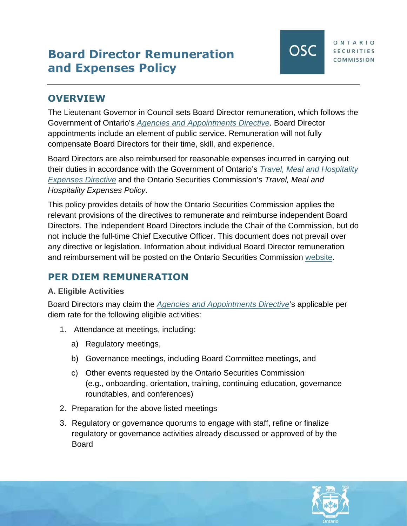# **Board Director Remuneration and Expenses Policy**

## **OVERVIEW**

The Lieutenant Governor in Council sets Board Director remuneration, which follows the Government of Ontario's *[Agencies and Appointments Directive](https://www.ontario.ca/page/agencies-and-appointments-directive)*. Board Director appointments include an element of public service. Remuneration will not fully compensate Board Directors for their time, skill, and experience.

Board Directors are also reimbursed for reasonable expenses incurred in carrying out their duties in accordance with the Government of Ontario's *[Travel, Meal and Hospitality](https://www.ontario.ca/page/travel-meal-and-hospitality-expenses-directive-2020)  [Expenses Directive](https://www.ontario.ca/page/travel-meal-and-hospitality-expenses-directive-2020)* [and the Ontario Securities Commission's](https://www.ontario.ca/page/travel-meal-and-hospitality-expenses-directive-2020) *[Travel, Meal and](https://www.ontario.ca/page/travel-meal-and-hospitality-expenses-directive-2020)  Hospitality Expenses Policy*.

This policy provides details of how the Ontario Securities Commission applies the relevant provisions of the directives to remunerate and reimburse independent Board Directors. The independent Board Directors include the Chair of the Commission, but do not include the full-time Chief Executive Officer. This document does not prevail over any directive or legislation. Information about individual Board Director remuneration and reimbursement will be posted on the Ontario Securities Commission [website](https://www.osc.ca/en/about-us/accountability/expense-disclosure).

# **PER DIEM REMUNERATION**

#### **A. Eligible Activities**

Board Directors may claim the *[Agencies and Appointments Directive](https://www.ontario.ca/page/agencies-and-appointments-directive)*'s applicable per diem rate for the following eligible activities:

- 1. Attendance at meetings, including:
	- a) Regulatory meetings,
	- b) Governance meetings, including Board Committee meetings, and
	- c) Other events requested by the Ontario Securities Commission (e.g., onboarding, orientation, training, continuing education, governance roundtables, and conferences)
- 2. Preparation for the above listed meetings
- 3. Regulatory or governance quorums to engage with staff, refine or finalize regulatory or governance activities already discussed or approved of by the **Board**

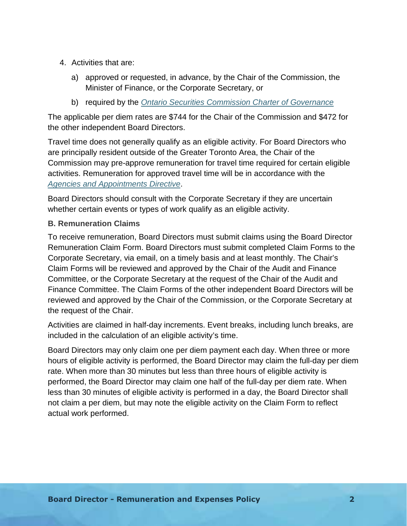- 4. Activities that are:
	- a) approved or requested, in advance, by the Chair of the Commission, the Minister of Finance, or the Corporate Secretary, or
	- b) required by the *[Ontario Securities Commission Charter of Governance](https://www.osc.ca/sites/default/files/2021-08/20210601_Ontario-Securities-Commission-Charter-of-Governance-amended.pdf)*

The applicable per diem rates are \$744 for the Chair of the Commission and \$472 for the other independent Board Directors.

Travel time does not generally qualify as an eligible activity. For Board Directors who are principally resident outside of the Greater Toronto Area, the Chair of the Commission may pre-approve remuneration for travel time required for certain eligible activities. Remuneration for approved travel time will be in accordance with the *[Agencies and Appointments Directive](https://www.ontario.ca/page/agencies-and-appointments-directive)*.

Board Directors should consult with the Corporate Secretary if they are uncertain whether certain events or types of work qualify as an eligible activity.

#### **B. Remuneration Claims**

To receive remuneration, Board Directors must submit claims using the Board Director Remuneration Claim Form. Board Directors must submit completed Claim Forms to the Corporate Secretary, via email, on a timely basis and at least monthly. The Chair's Claim Forms will be reviewed and approved by the Chair of the Audit and Finance Committee, or the Corporate Secretary at the request of the Chair of the Audit and Finance Committee. The Claim Forms of the other independent Board Directors will be reviewed and approved by the Chair of the Commission, or the Corporate Secretary at the request of the Chair.

Activities are claimed in half-day increments. Event breaks, including lunch breaks, are included in the calculation of an eligible activity's time.

Board Directors may only claim one per diem payment each day. When three or more hours of eligible activity is performed, the Board Director may claim the full-day per diem rate. When more than 30 minutes but less than three hours of eligible activity is performed, the Board Director may claim one half of the full-day per diem rate. When less than 30 minutes of eligible activity is performed in a day, the Board Director shall not claim a per diem, but may note the eligible activity on the Claim Form to reflect actual work performed.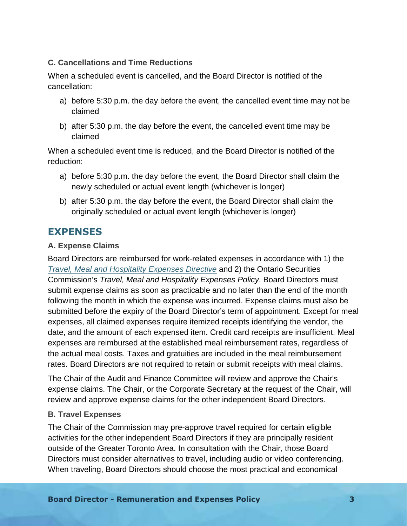#### **C. Cancellations and Time Reductions**

When a scheduled event is cancelled, and the Board Director is notified of the cancellation:

- a) before 5:30 p.m. the day before the event, the cancelled event time may not be claimed
- b) after 5:30 p.m. the day before the event, the cancelled event time may be claimed

When a scheduled event time is reduced, and the Board Director is notified of the reduction:

- a) before 5:30 p.m. the day before the event, the Board Director shall claim the newly scheduled or actual event length (whichever is longer)
- b) after 5:30 p.m. the day before the event, the Board Director shall claim the originally scheduled or actual event length (whichever is longer)

### **EXPENSES**

#### **A. Expense Claims**

Board Directors are reimbursed for work-related expenses in accordance with 1) the *[Travel, Meal and Hospitality Expenses Directive](https://www.ontario.ca/page/travel-meal-and-hospitality-expenses-directive-2020)* and 2) the Ontario Securities Commission's *Travel, Meal and Hospitality Expenses Policy*. Board Directors must submit expense claims as soon as practicable and no later than the end of the month following the month in which the expense was incurred. Expense claims must also be submitted before the expiry of the Board Director's term of appointment. Except for meal expenses, all claimed expenses require itemized receipts identifying the vendor, the date, and the amount of each expensed item. Credit card receipts are insufficient. Meal expenses are reimbursed at the established meal reimbursement rates, regardless of the actual meal costs. Taxes and gratuities are included in the meal reimbursement rates. Board Directors are not required to retain or submit receipts with meal claims.

The Chair of the Audit and Finance Committee will review and approve the Chair's expense claims. The Chair, or the Corporate Secretary at the request of the Chair, will review and approve expense claims for the other independent Board Directors.

#### **B. Travel Expenses**

The Chair of the Commission may pre-approve travel required for certain eligible activities for the other independent Board Directors if they are principally resident outside of the Greater Toronto Area. In consultation with the Chair, those Board Directors must consider alternatives to travel, including audio or video conferencing. When traveling, Board Directors should choose the most practical and economical